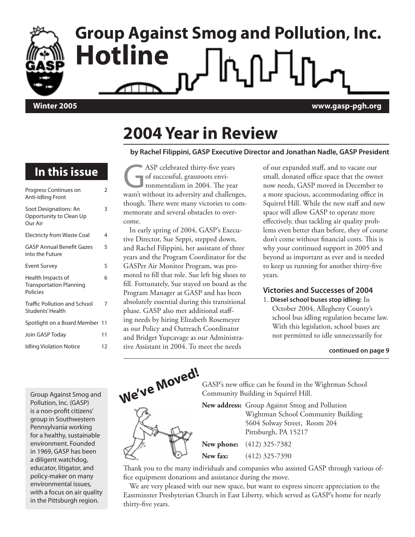

# **Group Against Smog and Pollution, Inc. Hotline**

**Winter 2005 www.gasp-pgh.org**

### **2004 Year in Review**

#### **by Rachel Filippini, GASP Executive Director and Jonathan Nadle, GASP President**

### **In this issue**

| Progress Continues on<br>Anti-Idling Front                             | 2  |
|------------------------------------------------------------------------|----|
| Soot Designations: An<br>Opportunity to Clean Up<br>Our Air            | 3  |
| <b>Electricty from Waste Coal</b>                                      | 4  |
| <b>GASP Annual Benefit Gazes</b><br>into the Future                    | 5  |
| <b>Event Survey</b>                                                    | 5  |
| Health Impacts of<br><b>Transportation Planning</b><br><b>Policies</b> | 6  |
| <b>Traffic Pollution and School</b><br>Students' Health                | 7  |
| Spotlight on a Board Member 11                                         |    |
| Join GASP Today                                                        | 11 |
| <b>Idling Violation Notice</b>                                         | 12 |

ASP celebrated thirty-five years<br>of successful, grassroots environmentalism in 2004. The year<br>wasn't without its adversity and challeng of successful, grassroots environmentalism in 2004. The year wasn't without its adversity and challenges, though. There were many victories to commemorate and several obstacles to overcome.

In early spring of 2004, GASP's Executive Director, Sue Seppi, stepped down, and Rachel Filippini, her assistant of three years and the Program Coordinator for the GASPer Air Monitor Program, was promoted to fill that role. Sue left big shoes to fill. Fortunately, Sue stayed on board as the Program Manager at GASP and has been absolutely essential during this transitional phase. GASP also met additional staffing needs by hiring Elizabeth Rosemeyer as our Policy and Outreach Coordinator and Bridget Yupcavage as our Administrative Assistant in 2004. To meet the needs

of our expanded staff, and to vacate our small, donated office space that the owner now needs, GASP moved in December to a more spacious, accommodating office in Squirrel Hill. While the new staff and new space will allow GASP to operate more effectively, thus tackling air quality problems even better than before, they of course don't come without financial costs. This is why your continued support in 2005 and beyond as important as ever and is needed to keep us running for another thirty-five years.

#### **Victories and Successes of 2004**

1. **Diesel school buses stop idling:** In October 2004, Allegheny County's school bus idling regulation became law. With this legislation, school buses are not permitted to idle unnecessarily for

#### **continued on page 9**

Group Against Smog and Pollution, Inc. (GASP) is a non-profit citizens' group in Southwestern Pennsylvania working for a healthy, sustainable environment. Founded in 1969, GASP has been a diligent watchdog, educator, litigator, and policy-maker on many environmental issues, with a focus on air quality in the Pittsburgh region.



Thank you to the many individuals and companies who assisted GASP through various office equipment donations and assistance during the move.

We are very pleased with our new space, but want to express sincere appreciation to the Eastminster Presbyterian Church in East Liberty, which served as GASP's home for nearly thirty-five years.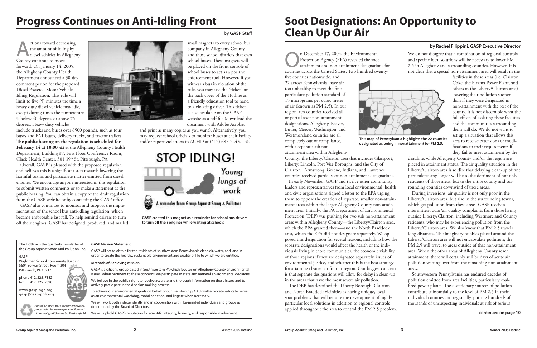### **Progress Continues on Anti-Idling Front**

**by GASP Staff**

ctions toward decreasing<br>the amount of idling by<br>diesel vehicles in Allegher<br>County continue to move the amount of idling by diesel vehicles in Allegheny County continue to move forward. On January 14, 2005, the Allegheny County Health Department announced a 30-day comment period for the proposed Diesel Powered Motor Vehicle Idling Regulation. This rule will limit to five (5) minutes the time a heavy duty diesel vehicle may idle, except during times the temperature is below 40 degrees or above 75 degrees. Heavy duty vehicles

include trucks and buses over 8500 pounds, such as tour buses and PAT buses, delivery trucks, and tractor trailers. **The public hearing on the regulation is scheduled for February 14 at 10:00 AM** at the Allegheny County Health Department, Building #7, First Floor Conference Room, Clack Health Center, 301 39<sup>th</sup> St. Pittsburgh, PA.

and print as many copies as you want). Alternatively, you may request school officials to monitor buses at their facility and/or report violations to ACHD at  $(412)$  687-2243.  $\delta$ 

Overall, GASP is pleased with the proposed regulation and believes this is a significant step towards lowering the harmful toxins and particulate matter emitted from diesel engines. We encourage anyone interested in this regulation to submit written comments or to make a statement at the public hearing. You can obtain a copy of the draft regulation from the GASP website or by contacting the GASP office.

The December 17, 2004, the Environmental<br>Protection Agency (EPA) revealed the soot<br>attainment and non-attainment designation Protection Agency (EPA) revealed the soot attainment and non-attainment designations for counties across the United States. Two hundred twenty-

GASP also continues to monitor and support the implementation of the school bus anti-idling regulation, which became enforceable last fall. To help remind drivers to turn off their engines, GASP has designed, produced, and mailed



small magnets to every school bus company in Allegheny County and those school districts that own school buses. These magnets will be placed on the front console of school buses to act as a positive enforcement tool. However, if you witness a bus in violation of the rule, you may use the "ticket" on the back cover of the Hotline as a friendly education tool to hand to a violating driver. This ticket is also available on the GASP website as a pdf file (download the document with Adobe Acrobat

five counties nationwide, and 22 across Pennsylvania, have air too unhealthy to meet the fine particulate pollution standard of 15 micrograms per cubic meter of air (known as PM 2.5). In our region, ten counties received all or partial soot non-attainment designations. Allegheny, Beaver, Butler, Mercer, Washington, and Westmoreland counties are all completely out of compliance, with a separate sub non-



attainment area within Allegheny

County: the Liberty/Clairton area that includes Glassport, Liberty, Lincoln, Port Vue Boroughs, and the City of Clairton. Armstrong, Greene, Indiana, and Lawrence counties received partial soot non-attainment designations.

In early November, GASP and twelve other community leaders and representatives from local environmental, health and civic organizations signed a letter to the EPA urging them to oppose the creation of separate, smaller non-attainment areas within the larger Allegheny County non-attainment area. Initially, the PA Department of Environmental Protection (DEP) was pushing for two sub non-attainment areas within Allegheny County—the Liberty/Clairton area, which the EPA granted them—and the North Braddock area, which the EPA did not designate separately. We opposed this designation for several reasons, including how the separate designations would affect the health of the individuals living in those communities, the economic viability of those regions if they are designated separately, issues of environmental justice, and whether this is the best strategy for attaining cleaner air for our region. Our biggest concern is that separate designations will allow for delay in clean-up in the areas that have the most severe air pollution.

The DEP has described the Liberty Borough, Clairton and North Braddock vicinities as having unique, local soot problems that will require the development of highly particular local solutions in addition to regional controls applied throughout the area to control the PM 2.5 problem.

We do not disagree that a combination of regional controls and specific local solutions will be necessary to lower PM 2.5 in Allegheny and surrounding counties. However, it is not clear that a special non-attainment area will result in the

facilities in these areas (i.e. Clairton Coke, the Elrama Power Plant, and others in the Liberty/Clairton area) lowering their pollution sooner than if they were designated in non-attainment with the rest of the county. It is not discernible what the full effects of isolating these facilities and the communities surrounding them will do. We do not want to set up a situation that allows this area to receive extensions or modifications to their requirements if they fail to meet attainment by the

deadline, while Allegheny County and/or the region are placed in attainment status. The air quality situation in the Liberty/Clairton area is so dire that delaying clean-up of fine particulates any longer will be to the detriment of not only residents of those areas, but to the entire county and surrounding counties downwind of these areas.

During inversions, air quality is not only poor in the Liberty/Clairton area, but also in the surrounding towns, which get pollution from these areas. GASP receives intermittent odor/air quality complaints from those living outside Liberty/Clairton, including Westmoreland County residents, who may be experiencing pollution from the Liberty/Clairton area. We also know that PM 2.5 travels long distances. The imaginary bubbles placed around the Liberty/Clairton area will not encapsulate pollution; the PM 2.5 will travel to areas outside of that non-attainment area. When the other areas of Allegheny County reach attainment, there will certainly still be days of acute air pollution wafting over from the remaining non-attainment areas.

Southwestern Pennsylvania has endured decades of pollution emitted from area facilities, particularly coalfired power plants. These stationary sources of pollution contribute substantially to the level of PM 2.5 in their individual counties and regionally, putting hundreds of thousands of unsuspecting individuals at risk of serious

### **Soot Designations: An Opportunity to Clean Up Our Air**

#### **by Rachel Filippini, GASP Executive Director**



**GASP created this magnet as a reminder for school bus drivers to turn off their engines while waiting at schools**

#### **continued on page 10**

**The Hotline** is the quarterly newsletter of the Group Against Smog and Pollution, Inc.

#### GASP

Wightman School Community Building 5604 Solway Street, Room 204 Pittsburgh, PA 15217

phone 412.325.7382 fax 412.325.7390

www.gasp-pgh.org gasp@gasp-pgh.org



#### **GASP Mission Statement**

GASP will act to obtain for the residents of southwestern Pennsylvania clean air, water, and land in order to create the healthy, sustainable environment and quality of life to which we are entitled.

#### **Methods of Achieving Mission**

GASP is a citizens' group based in Southwestern PA which focuses on Allegheny County environmental issues. When pertinent to these concerns, we participate in state and national environmental decisions.

We believe in the public's right to receive accurate and thorough information on these issues and to actively participate in the decision making process.

To achieve our environmental goals on behalf of our membership, GASP will advocate, educate, serve as an environmental watchdog, mobilize action, and litigate when necessary.

We will work both independently and in cooperation with like-minded individuals and groups as determined by the Board of Directors.

We will uphold GASP's reputation for scientific integrity, honesty, and responsible involvement.

Printed on 100% post-consumer recycled, processed chlorine-free paper at Forward Lithography, 4065 Irvine St., Pittsburgh, PA.

GAS



b **This map of Pennsylvania highlights the 22 counties designated as being in nonattainment for PM 2.5.**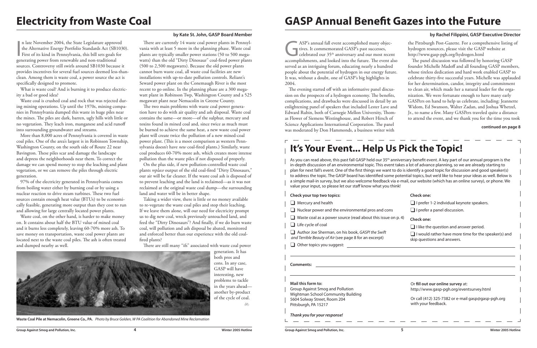$\overline{d}$ 

 $\overline{\mathbf{I}}$ n late November 2004, the State Legislature approved the Alternative Energy Portfolio Standards Act (SB1030). First of its kind in Pennsylvania, this bill sets goals for generating power from renewable and non-traditional sources. Controversy still swirls around SB1030 because it provides incentives for several fuel sources deemed less-thanclean. Among them is waste coal, a power source the act is specifically designed to promote.

What is waste coal? And is burning it to produce electricity a bad or good idea?

Waste coal is crushed coal and rock that was rejected during mining operations. Up until the 1970s, mining companies in Pennsylvania dumped this waste in huge piles near the mines. The piles are dark, barren, ugly hills with little or no vegetation. They leach iron, manganese and acid runoff into surrounding groundwater and streams.

More than 8,000 acres of Pennsylvania is covered in waste coal piles. One of the area's largest is in Robinson Township, Washington County, on the south side of Route 22 near Bavington. These piles scar and damage the landscape and depress the neighborhoods near them. To correct the damage we can spend money to stop the leaching and plant vegetation, or we can remove the piles through electric generation.

97% of the electricity generated in Pennsylvania comes from boiling water either by burning coal or by using a nuclear reaction to drive steam turbines. These two fuel sources contain enough heat value (BTUs) to be economically feasible, generating more output than they cost to run and allowing for large centrally located power plants.

Waste coal, on the other hand, is harder to make money on. It contains about half the BTU value of mined coal and it burns less completely, leaving 60-70% more ash. To save money on transportation, waste coal power plants are located next to the waste coal piles. The ash is often treated and dumped nearby as well.

ASP's annual fall event accomplished many objectives. It commemorated GASP's past successes, celebrated our 35<sup>th</sup> anniversary and our most recent accomplishments, and looked into the future. The event also served as an intriguing forum, educating nearly a hundred people about the potential of hydrogen in our energy future. It was, without a doubt, one of GASP's big highlights in 2004.

There are currently 14 waste coal power plants in Pennsylvania with at least 5 more in the planning phase. Waste coal plants are typically smaller power stations (50 to 500 megawatts) than the old "Dirty Dinosaur" coal-fired power plants (500 to 2,500 megawatts). Because the old power plants cannot burn waste coal, all waste coal facilities are new installations with up-to-date pollution controls. Reliant's Seward power plant on the Conemaugh River is the most recent to go online. In the planning phase are a 300 megawatt plant in Robinson Twp, Washington County and a 525 megawatt plant near Nemacolin in Greene County.

The two main problems with waste coal power generation have to do with air quality and ash disposal. Waste coal contains the same—or more—of the sulphur, mercury and toxins found in mined coal and, since twice as much must be burned to achieve the same heat, a new waste coal power plant will create twice the pollution of a new mined-coal power plant. (This is a moot comparison as western Pennsylvania doesn't have *new* coal-fired plants.) Similarly, waste coal produces 60-70% more ash, which creates more intense pollution than the waste piles if not disposed of properly.

On the plus side, if new pollution-controlled waste coal plants *replace* output of the old coal-fired "Dirty Dinosaurs," our air will be far cleaner. If the waste coal ash is disposed of to prevent leaching and the land is reclaimed—as it was not reclaimed at the original waste coal dump—the surrounding land and water will be in better shape.

As you can read above, this past fall GASP held our 35<sup>th</sup> anniversary benefit event. A key part of our annual program is the in-depth discussion of an environmental topic. This event takes a lot of advance planning, so we are already starting to plan for next fall's event. One of the first things we want to do is identify a good topic for discussion and good speaker(s) to address the topic. The GASP board has identified some potential topics, but we'd like to hear your ideas as well. Below is a simple mail-in survey, but we also welcome feedback via e-mail, our website (which has an online survey), or phone. We value your input, so please let our staff know what you think!

- **Check your top two topics:**
- $\Box$  Mercury and health
- $\Box$  Nuclear power and the environmental pros and cons
- $\Box$  Waste coal as a power source (read about this issue on p. 4)
- $\Box$  Life cycle of coal
- Author Joe Sherman, on his book, GASP! the Swift and Terrible Beauty of Air (see page 8 for an excerpt)
- $\Box$  Other topics you suggest:

 $\Box$  I would rather have more time for the speaker(s) and skip questions and answers.

Taking a wider view, there is little or no money available to re-vegetate the waste coal piles and stop their leaching. If we leave them alone, will our need for electricity prompt us to dig new coal, wreck previously untouched land, and feed the "Dirty Dinosaurs"? And finally, if we do burn waste coal, will pollution and ash disposal be abated, monitored and enforced better than our experience with the old coalfired plants?

There are still many "ifs" associated with waste coal power

The evening started off with an informative panel discussion on the prospects of a hydrogen economy. The benefits, complications, and drawbacks were discussed in detail by an enlightening panel of speakers that included Lester Lave and Edward Rubin, both of Carnegie Mellon University, Thomas Flower of Siemens Westinghouse, and Robert Hirsch of Science Applications International Corporation. The panel was moderated by Don Hammonds, a business writer with



**Waste Coal Pile at Nemacolin, Greene Co., PA.** Photo by Bruce Golden, W PA Coalition for Abandoned Mine Reclamation

the Pittsburgh Post-Gazette. For a comprehensive listing of hydrogen resources, please visit the GASP website at http://www.gasp-pgh.org/hydrogen.html

The panel discussion was followed by honoring GASP founder Michelle Madoff and all founding GASP members, whose tireless dedication and hard work enabled GASP to celebrate thirty-five successful years. Michelle was applauded for her determination, candor, integrity and commitment to clean air, which made her a natural leader for the organization. We were fortunate enough to have many early GASPers on hand to help us celebrate, including: Jeannette Widom, Ed Swanson, Walter Zadan, and Joshua Whetzel, Jr., to name a few. Many GASPers traveled quite a distance to attend the event, and we thank you for the time you took

### **Electricity from Waste Coal**

#### **by Kate St. John, GASP Board Member**

### **GASP Annual Benefit Gazes into the Future**

#### **by Rachel Filippini, GASP Executive Director**

#### **continued on page 8**

### **It's Your Event... Help Us Pick the Topic!**

**Check one:**

 $\Box$  I prefer 1-2 individual keynote speakers.

 $\Box$  I prefer a panel discussion.

**Check one:**

 $\Box$  I like the question and answer period.

#### **Mail this form to:**

Group Against Smog and Pollution Wightman School Community Building 5604 Solway Street, Room 204

Pittsburgh, PA 15217

**Thank you for your response!**



Or **fill out our online survey** at: http://www.gasp-pgh.org/eventsurvey.html

Or call (412) 325-7382 or e-mail gasp@gasp-pgh.org with your feedback.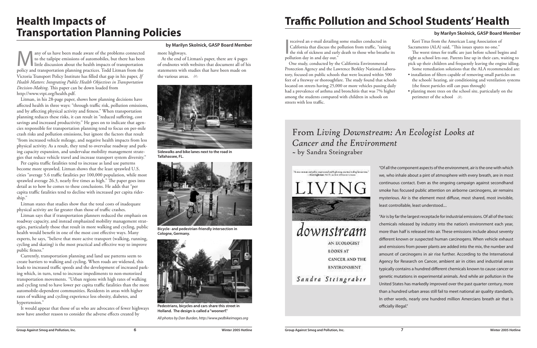Many of us have been made aware of the problems connected<br>to the tailpipe emissions of automobiles, but there has been<br>little discussion about the health impacts of transportation<br>policy and transportation planning practic to the tailpipe emissions of automobiles, but there has been little discussion about the health impacts of transportation policy and transportation planning practices. Todd Litman from the Victoria Transport Policy Institute has filled that gap in his paper, *If Health Matters: Integrating Public Health Objectives in Transportation Decision-Making*. This paper can be down loaded from http://www.vtpi.org/health.pdf.

Litman, in his 28-page paper, shows how planning decisions have affected health in three ways: "through traffic risk, pollution emissions, and by affecting physical activity and fitness." When transportation planning reduces these risks, it can result in "reduced suffering, cost savings and increased productivity." He goes on to indicate that agencies responsible for transportation planning tend to focus on per-mile crash risks and pollution emissions, but ignore the factors that result "from increased vehicle mileage, and negative health impacts from less physical activity. As a result, they tend to overvalue roadway and parking capacity expansion, and undervalue mobility management strategies that reduce vehicle travel and increase transport system diversity."

At the end of Litman's paper, there are 4 pages of endnotes with websites that document all of his statements with studies that have been made on the various areas.  $\delta$ 



Sidewalks and bike lanes next to the road in  $\overline{\phantom{a}}$  by Sandra Steingraber Tallahassee, FL.

Per capita traffic fatalities tend to increase as land use patterns become more sprawled. Litman shows that the least sprawled U.S. cities "average 5.6 traffic fatalities per 100,000 population, while most sprawled average 26.3, nearly five times as high." The paper goes into detail as to how he comes to these conclusions. He adds that "per capita traffic fatalities tend to decline with increased per capita ridership."

**by Marilyn Skolnick, GASP Board Member**<br> **by Marilyn Skolnick, GASP Board Member**<br> **e** highways.<br> **e** highways.<br> **e** highways.<br> **e** highways.<br> **e** highways. California that discuss the pollution from traffic, "raising the risk of sickness and early death to those who breathe its pollution day in and day out."

Litman states that studies show that the total costs of inadequate physical activity are far greater than those of traffic crashes.

Litman says that if transportation planners reduced the emphasis on roadway capacity, and instead emphasized mobility management strategies, particularly those that result in more walking and cycling, public health would benefit in one of the most cost effective ways. Many experts, he says, "believe that more active transport (walking, running, cycling and skating) is the most practical and effective way to improve public fitness."

- installation of filters capable of removing small particles on the schools' heating, air conditioning and ventilation systems (the finest particles still can pass through)
- planting more trees on the school site, particularly on the perimeter of the school  $\delta$

Currently, transportation planning and land use patterns seem to create barriers to walking and cycling. When roads are widened, this leads to increased traffic speeds and the development of increased parking which, in turn, tend to increase impediments to non-motorized transportation movements. "Urban regions with high rates of walking and cycling tend to have lower per capita traffic fatalities than the more automobile-dependent communities. Residents in areas with higher rates of walking and cycling experience less obesity, diabetes, and hypertension."

It would appear that those of us who are advocates of fewer highways now have another reason to consider the adverse effects created by

more highways.

### **Health Impacts of Transportation Planning Policies**

One study, conducted by the California Environmental Protection Agency and the Lawrence Berkley National Laboratory, focused on public schools that were located within 500 feet of a freeway or thoroughfare. The study found that schools located on streets having 25,000 or more vehicles passing daily had a prevalence of asthma and bronchitis that was 7% higher among the students compared with children in schools on streets with less traffic.

Kori Titus from the American Lung Association of Sacramento (ALA) said, "This issues spares no one."

The worst times for traffic are just before school begins and right as school lets out. Parents line up in their cars, waiting to pick up their children and frequently leaving the engine idling. Some remediation solutions that the ALA recommended are:

### **Traffic Pollution and School Students' Health**

#### **by Marilyn Skolnick, GASP Board Member**

"Of all the component aspects of the environment, air is the one with which we, who inhale about a pint of atmosphere with every breath, are in most continuous contact. Even as the ongoing campaign against secondhand smoke has focused public attention on airborne carcinogens, air remains mysterious. Air is the element most diffuse, most shared, most invisible, least controllable, least understood....

"Air is by far the largest receptacle for industrial emissions. Of all of the toxic chemicals released by industry into the nation's environment each year, more than half is released into air. These emissions include about seventy different known or suspected human carcinogens. When vehicle exhaust and emissions from power plants are added into the mix, the number and amount of carcinogens in air rise further. According to the International Agency for Research on Cancer, ambient air in cities and industrial areas typically contains a hundred different chemicals known to cause cancer or genetic mutations in experimental animals. And while air pollution in the United States has markedly improved over the past quarter century, more than a hundred urban areas still fail to meet national air quality standards, In other words, nearly one hundred million Amercians breath air that is officially illegal."

## From *Living Downstream: An Ecologist Looks at Cancer and the Environment*





**Bicycle- and pedestrian-friendly intersection in Cologne, Germany.**



**Pedestrians, bicycles and cars share this street in Holland. The design is called a "woonerf."**

All photos by Dan Burden, http://www.pedbikeimages.org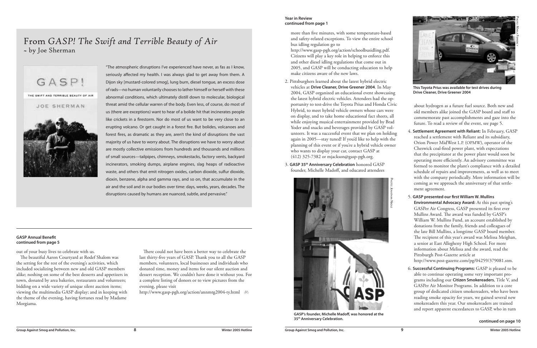more than five minutes, with some temperature-based and safety-related exceptions. To view the entire school bus idling regulation go to

http://www.gasp-pgh.org/action/schoolbusidling.pdf. Citizens will play a key role in helping to enforce this and other diesel idling regulations that come out in 2005, and GASP will be conducting education to help make citizens aware of the new laws.

- 2. Pittsburghers learned about the latest hybrid electric vehicles at **Drive Cleaner, Drive Greener 2004**. In May 2004, GASP organized an educational event showcasing the latest hybrid electric vehicles. Attendees had the opportunity to test-drive the Toyota Prius and Honda Civic Hybrid, to meet hybrid vehicle owners whose cars were on display, and to take home educational fact sheets, all while enjoying musical entertainment provided by Brad Yoder and snacks and beverages provided by GASP volunteers. It was a successful event that we plan on holding again in 2005—stay tuned! If you'd like to help with the planning of this event or if you're a hybrid vehicle owner who wants to display your car, contact GASP at (412) 325-7382 or mjackson@gasp-pgh.org.
- 3. **GASP 35th Anniversary Celebration** honored GASP founder, Michelle Madoff, and educated attendees



- about hydrogen as a future fuel source. Both new and old members alike joined the GASP board and staff to commemorate past accomplishments and gaze into the future. To read a review of the event, see page 5.
- 4. **Settlement Agreement with Reliant:** In February, GASP reached a settlement with Reliant and its subsidiary, Orion Power MidWest L.P. (OPMW), operator of the Cheswick coal-fired power plant, with expectations that the precipitator at the power plant would soon be operating more efficiently. An advisory committee was formed to monitor the plant's compliance with a detailed schedule of repairs and improvements, as well as to meet with the company periodically. More information will be coming as we approach the anniversary of that settlement agreement.
- 5. **GASP presented our first William W. Mullins Environmental Advocacy Award:** At this past spring's GASPer Air Congress, GASP presented its first ever Mullins Award. The award was funded by GASP's William W. Mullins Fund, an account established by donations from the family, friends and colleagues of the late Bill Mullins, a longtime GASP board member. The recipient of this year's award was Melissa Meighan, a senior at East Allegheny High School. For more information about Melissa and the award, read the Pittsburgh Post-Gazette article at http://www.post-gazette.com/pg/04259/379081.stm.

6. **Successful Continuing Programs:** GASP is pleased to be able to continue operating some very important programs including our **Citizen Smokereaders**, Title V, and GASPer Air Monitor Programs. In addition to a core group of dedicated citizen smokereaders, who have been reading smoke opacity for years, we gained several new smokereaders this year. Our smokereaders are trained and report apparent exceedances to GASP, who in turn

"The atmospheric disruptions I've experienced have never, as fas as I know, seriously affected my health. I was always glad to get away from them. A Dijon sky [mustard-colored smog], lung burn, diesel tongue, an excess dose of rads—no human voluntarily chooses to lather himself or herself with these abnormal conditions, which ultimately distill down to molecular, biological threat amid the cellular warren of the body. Even less, of course, do most of us (there are exceptions) want to hear of a bolide hit that incinerates people like crickets in a firestorm. Nor do most of us want to be very close to an erupting volcano. Or get caught in a forest fire. But bolides, volcanoes and forest fires, as dramatic as they are, aren't the kind of disruptions the vast majority of us have to worry about. The disruptions we have to worry about are mostly collective emissions from hundreds and thousands and millions of small sources—tailpipes, chimneys, smokestacks, factory vents, backyard incinerators, smoking dumps, airplane engines, slag heaps of radioactive waste, and others that emit nitrogen oxides, carbon dioxide, sulfur dioxide, dioxin, benzene, alpha and gamma rays, and so on, that accumulate in the air and the soil and in our bodies over time: days, weeks, years, decades. The disruptions caused by humans are nuanced, subtle, and pervasive."

#### From *GASP! The Swift and Terrible Beauty of Air* ̅ by Joe Sherman



out of your busy lives to celebrate with us.

The beautiful Aaron Courtyard at Rodef Shalom was the setting for the rest of the evening's activities, which included socializing between new and old GASP members alike; noshing on some of the best desserts and appetizers in town, donated by area bakeries, restaurants and volunteers; bidding on a wide variety of unique silent auction items; viewing the multimedia GASP display; and in keeping with the theme of the evening, having fortunes read by Madame Morgiama.

There could not have been a better way to celebrate the last thirty-five years of GASP. Thank you to all the GASP members, volunteers, local businesses and individuals who donated time, money and items for our silent auction and dessert reception. We couldn't have done it without you. For a complete listing of donors or to view pictures from the evening, please visit

**continued on page 10**

http://www.gasp-pgh.org/action/annmtg2004-ty.html b

#### **GASP Annual Benefit continued from page 5**

#### **Year in Review continued from page 1**



**This Toyota Prius was available for test drives during Drive Cleaner, Drive Greener 2004**

- 
- 
- 

PHOTO: JONATHAN NADLE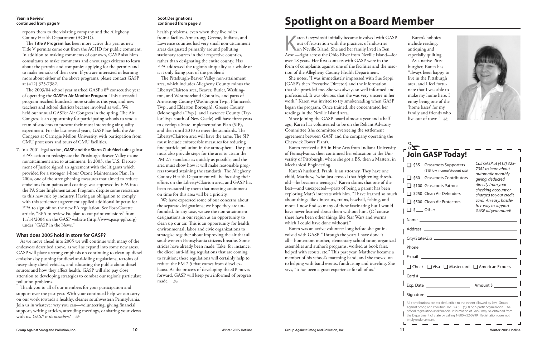| □ \$35 Grassroots Supporters<br>(\$15 low income/student rate)<br><b>Grassroots Contributors</b><br>$\Box$ \$60<br>□ \$100 Grassroots Patrons<br>S250 Clean Air Defenders<br>\$500 Clean Air Protectors                                                                                                              | Call GASP at (412) 325-<br>7382 to learn about<br>automatic monthly<br>giving, deducted<br>directly from your<br>checking account or<br>charged to your credit<br>card. An easy, hassle- |
|----------------------------------------------------------------------------------------------------------------------------------------------------------------------------------------------------------------------------------------------------------------------------------------------------------------------|------------------------------------------------------------------------------------------------------------------------------------------------------------------------------------------|
| $\Box$ \$ Other                                                                                                                                                                                                                                                                                                      | free way to support<br>GASP all year round!                                                                                                                                              |
|                                                                                                                                                                                                                                                                                                                      |                                                                                                                                                                                          |
| Phone ________________________<br>E-mail                                                                                                                                                                                                                                                                             |                                                                                                                                                                                          |
| □ Check □ Visa □ Mastercard □ American Express<br>Card $#$                                                                                                                                                                                                                                                           |                                                                                                                                                                                          |
| Exp. Date $\frac{1}{2}$ Amount \$                                                                                                                                                                                                                                                                                    |                                                                                                                                                                                          |
| Signature                                                                                                                                                                                                                                                                                                            |                                                                                                                                                                                          |
| All contributions are tax-deductible to the extent allowed by law. Group<br>Against Smog and Pollution, Inc. is a 501(c)(3) non-profit organization. The<br>official registration and financial information of GASP may be obtained from<br>the Department of State by calling 1-800-732-0999. Registration does not |                                                                                                                                                                                          |

**Z** aren Grzywinski initially became involved with GASP out of frustration with the practices of industries on Neville Island. She and her family lived in Ben Avon—right across the Ohio River from Neville Island—for over 18 years. Her first contacts with GASP were in the form of complaints against one of the facilities and the inaction of the Allegheny County Health Department.

She notes, "I was immediately impressed with Sue Seppi [GASP's then Executive Director] and the information that she provided me. She was always so well informed and professional. It was obvious that she was very sincere in her work." Karen was invited to try smokereading when GASP began the program. Once trained, she concentrated her readings in the Neville Island area.

Since joining the GASP board almost a year and a half ago, Karen has volunteered to be on the Reliant Advisory Committee (the committee overseeing the settlement agreement between GASP and the company operating the Cheswick Power Plant).

Karen received a BA in Fine Arts from Indiana University of Pennsylvania, then continued her education at the University of Pittsburgh, where she got a BS, then a Masters, in Mechanical Engineering.

We have expressed some of our concerns about the separate designations; we hope they are unfounded. In any case, we see the non-attainment designations in our region as an opportunity to clean up our air. This is an opportunity for health, environmental, labor and civic organizations to strategize together about improving the air that all southwestern Pennsylvania citizens breathe. Some strides have already been made. Take, for instance, the diesel anti-idling regulations that are coming to fruition; these regulations will certainly help to reduce the PM 2.5 that comes from diesel exhaust. As the process of developing the SIP moves forward, GASP will keep you informed of progress made. <sub>��</sub>

Karen's husband, Frank, is an attorney. They have one child, Matthew, "who just crossed that frightening threshold—he became a teenager." Karen claims that one of the best—and unexpected—parts of being a parent has been exploring Matt's interests with him. "I have learned so much about things like dinosaurs, trains, baseball, fishing, and more. I now find so many of these fascinating but I would have never learned about them without him. (Of course there have been other things like Star Wars and worms which I could have done without)."

Karen was an active volunteer long before she got involved with GASP. "Through the years I have done it all—homeroom mother, elementary school tutor, organized assemblies and author's programs, worked at book fairs, helped with scouts, etc." This past year, Matthew became a member of his school's marching band, and she moved on to helping with band events, fundraising and traveling. She says, "it has been a great experience for all of us."

The 2003/04 school year marked GASP's 8<sup>th</sup> consecutive year of operating the **GASPer Air Monitor Program**. This successful program reached hundreds more students this year, and new teachers and school districts became involved as well. We held our annual GASPer Air Congress in the spring. The Air Congress is an opportunity for participating schools to send a team of students to present their most interesting air quality experiment. For the last several years, GASP has held the Air Congress at Carnegie Mellon University, with particpation from CMU professors and tours of CMU facilities.

health problems, even when they live miles from a facility. Armstrong, Greene, Indiana, and Lawrence counties had very small non-attainment areas designated primarily around polluting stationary sources in their respective counties, rather than designating the entire county. Has EPA addressed the region's air quality as a whole or is it only fixing part of the problem?

The Pittsburgh-Beaver Valley non-attainment area, which includes Allegheny County minus the Liberty/Clairton area, Beaver, Butler, Washington, and Westmoreland Counties, and parts of Armstrong County (Washington Twp., Plumcreek Twp., and Elderton Borough), Greene County (Monongahela Twp.), and Lawrence County (Taylor Twp. south of New Castle) will have three years to develop a State Implementation Plan (SIP), and then until 2010 to meet the standards. The Liberty/Clairton area will have the same. The SIP must include enforceable measures for reducing fine particle pollution in the atmosphere. The plan must also provide steps for the area to attain the PM 2.5 standards as quickly as possible, and the area must show how it will make reasonable progress toward attaining the standards. The Allegheny County Health Department will be focusing their efforts on the Liberty/Clairton area, and GASP has been reassured by them that meeting attainment on time for this area will be a priority.

As a native Pittsburgher, Karen has "always been happy to live in the Pittsburgh area, and I feel fortunate that I was able to make my home here. I enjoy being one of the 'home bases' for my family and friends who live out of town."  $\delta$ 



reports them to the violating company and the Allegheny County Health Department (ACHD).

The **Title V Program** has been more active this year as new Title V permits come out from the ACHD for public comment. In addition to making comments of our own, GASP also hires consultants to make comments and encourages citizens to learn about the permits and companies applying for the permits and to make remarks of their own. If you are interested in learning more about either of the above programs, please contact GASP at (412) 325-7382.

7. In a 2001 legal action, **GASP and the Sierra Club filed suit** against EPA's action to redesignate the Pittsburgh-Beaver Valley ozone nonattainment area to attainment. In 2003, the U.S. Department of Justice signed an agreement with the litigants which provided for a stronger 1-hour Ozone Maintenance Plan. In 2004, one of the strengthening measures that aimed to reduce emissions from paints and coatings was approved by EPA into the PA State Implementation Program, despite some resistance to this new rule by industry. Having an obligation to comply with this settlement agreement applied additional impetus for EPA to sign off on the new PA regulation. See Post-Gazette article, "EPA to review Pa. plan to cut paint emissions" from 11/14/2004 on the GASP website (http://www.gasp-pgh.org) under "GASP in the News."

#### **What does 2005 hold in store for GASP?**

As we move ahead into 2005 we will continue with many of the endeavors described above, as well as expand into some new areas. GASP will place a strong emphasis on continuing to clean up diesel emissions by pushing for diesel anti-idling regulations, retrofits of heavy-duty diesel vehicles, and educating the public about diesel sources and how they affect health. GASP will also pay close attention to developing strategies to combat our region's particulate pollution problems.

## **Spotlight on a Board Member**

Thank you to all of our members for your participation and support over the past year. With your continued help we can carry on our work towards a healthy, cleaner southwestern Pennsylvania. Join us in whatever way you can—volunteering, giving financial support, writing articles, attending meetings, or sharing your views with us. *GASP is its members!* b

#### **Year in Review continued from page 9**

#### **Soot Designations continued from page 3**

Karen's hobbies

include reading, antiquing and especially quilting.